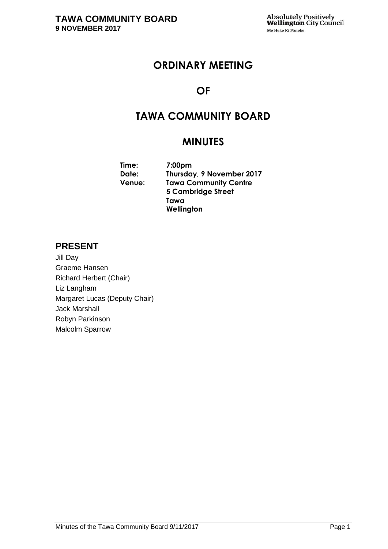# **ORDINARY MEETING**

# **OF**

# **TAWA COMMUNITY BOARD**

# **MINUTES**

**Time: 7:00pm Date: Thursday, 9 November 2017 Venue: Tawa Community Centre 5 Cambridge Street Tawa Wellington**

# **PRESENT**

Jill Day Graeme Hansen Richard Herbert (Chair) Liz Langham Margaret Lucas (Deputy Chair) Jack Marshall Robyn Parkinson Malcolm Sparrow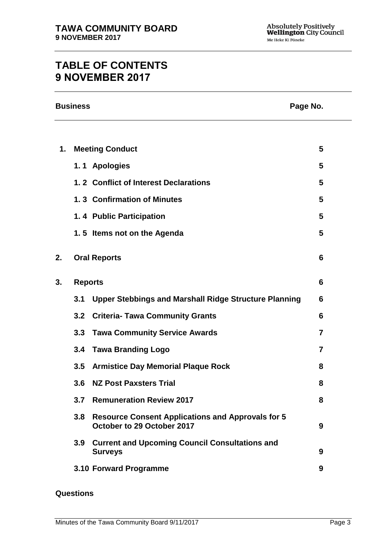# **TABLE OF CONTENTS 9 NOVEMBER 2017**

| $\mathbf 1$ . | <b>Meeting Conduct</b><br>1.1 Apologies<br>1.2 Conflict of Interest Declarations       | 5<br>5<br>5    |
|---------------|----------------------------------------------------------------------------------------|----------------|
|               |                                                                                        |                |
|               |                                                                                        |                |
|               |                                                                                        |                |
|               |                                                                                        |                |
|               | 1.3 Confirmation of Minutes                                                            | 5              |
|               | 1.4 Public Participation                                                               | 5              |
|               | 1.5 Items not on the Agenda                                                            | 5              |
| 2.            | <b>Oral Reports</b>                                                                    | 6              |
| 3.            | <b>Reports</b>                                                                         |                |
| 3.1           | <b>Upper Stebbings and Marshall Ridge Structure Planning</b>                           | 6              |
| 3.2           | <b>Criteria- Tawa Community Grants</b>                                                 | 6              |
| 3.3           | <b>Tawa Community Service Awards</b>                                                   | 7              |
| 3.4           | <b>Tawa Branding Logo</b>                                                              | $\overline{7}$ |
| 3.5           | <b>Armistice Day Memorial Plaque Rock</b>                                              | 8              |
| 3.6           | <b>NZ Post Paxsters Trial</b>                                                          | 8              |
| 3.7           | <b>Remuneration Review 2017</b>                                                        | 8              |
| 3.8           | <b>Resource Consent Applications and Approvals for 5</b><br>October to 29 October 2017 | 9              |
| 3.9           | <b>Current and Upcoming Council Consultations and</b><br><b>Surveys</b>                | 9              |
|               | 3.10 Forward Programme                                                                 | 9              |

## **Questions**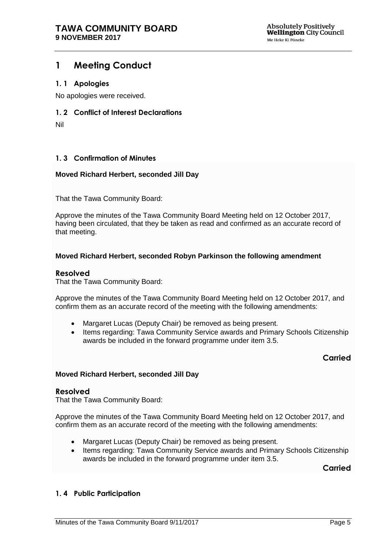# <span id="page-4-0"></span>**1 Meeting Conduct**

#### <span id="page-4-1"></span>**1. 1 Apologies**

No apologies were received.

#### <span id="page-4-2"></span>**1. 2 Conflict of Interest Declarations**

Nil

## <span id="page-4-3"></span>**1. 3 Confirmation of Minutes**

#### **Moved Richard Herbert, seconded Jill Day**

That the Tawa Community Board:

Approve the minutes of the Tawa Community Board Meeting held on 12 October 2017, having been circulated, that they be taken as read and confirmed as an accurate record of that meeting.

#### **Moved Richard Herbert, seconded Robyn Parkinson the following amendment**

#### **Resolved**

That the Tawa Community Board:

Approve the minutes of the Tawa Community Board Meeting held on 12 October 2017, and confirm them as an accurate record of the meeting with the following amendments:

- Margaret Lucas (Deputy Chair) be removed as being present.
- Items regarding: Tawa Community Service awards and Primary Schools Citizenship awards be included in the forward programme under item 3.5.

# **Carried**

#### **Moved Richard Herbert, seconded Jill Day**

#### **Resolved**

That the Tawa Community Board:

Approve the minutes of the Tawa Community Board Meeting held on 12 October 2017, and confirm them as an accurate record of the meeting with the following amendments:

- Margaret Lucas (Deputy Chair) be removed as being present.
- Items regarding: Tawa Community Service awards and Primary Schools Citizenship awards be included in the forward programme under item 3.5.

**Carried**

#### <span id="page-4-4"></span>**1. 4 Public Participation**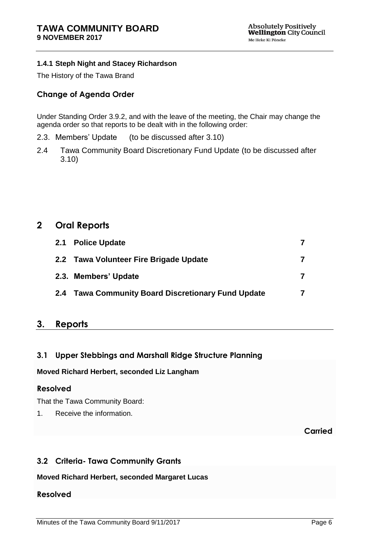## **1.4.1 Steph Night and Stacey Richardson**

The History of the Tawa Brand

# **Change of Agenda Order**

Under Standing Order 3.9.2, and with the leave of the meeting, the Chair may change the agenda order so that reports to be dealt with in the following order:

- 2.3. Members' Update (to be discussed after 3.10)
- 2.4 Tawa Community Board Discretionary Fund Update (to be discussed after 3.10)

# <span id="page-5-0"></span>**2 Oral Reports**

| 2.1 Police Update                                  |  |
|----------------------------------------------------|--|
| 2.2 Tawa Volunteer Fire Brigade Update             |  |
| 2.3. Members' Update                               |  |
| 2.4 Tawa Community Board Discretionary Fund Update |  |

# <span id="page-5-1"></span>**3. Reports**

# <span id="page-5-2"></span>**3.1 Upper Stebbings and Marshall Ridge Structure Planning**

#### **Moved Richard Herbert, seconded Liz Langham**

# **Resolved**

That the Tawa Community Board:

1. Receive the information.

**Carried**

# <span id="page-5-3"></span>**3.2 Criteria- Tawa Community Grants**

**Moved Richard Herbert, seconded Margaret Lucas**

# **Resolved**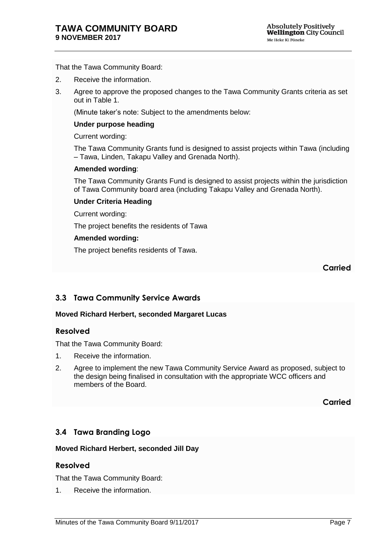That the Tawa Community Board:

- 2. Receive the information.
- 3. Agree to approve the proposed changes to the Tawa Community Grants criteria as set out in Table 1.

(Minute taker's note: Subject to the amendments below:

#### **Under purpose heading**

Current wording:

The Tawa Community Grants fund is designed to assist projects within Tawa (including – Tawa, Linden, Takapu Valley and Grenada North).

#### **Amended wording**:

The Tawa Community Grants Fund is designed to assist projects within the jurisdiction of Tawa Community board area (including Takapu Valley and Grenada North).

#### **Under Criteria Heading**

Current wording:

The project benefits the residents of Tawa

#### **Amended wording:**

The project benefits residents of Tawa.

**Carried**

# <span id="page-6-0"></span>**3.3 Tawa Community Service Awards**

#### **Moved Richard Herbert, seconded Margaret Lucas**

#### **Resolved**

That the Tawa Community Board:

- 1. Receive the information.
- 2. Agree to implement the new Tawa Community Service Award as proposed, subject to the design being finalised in consultation with the appropriate WCC officers and members of the Board.

**Carried**

# <span id="page-6-1"></span>**3.4 Tawa Branding Logo**

#### **Moved Richard Herbert, seconded Jill Day**

#### **Resolved**

That the Tawa Community Board:

1. Receive the information.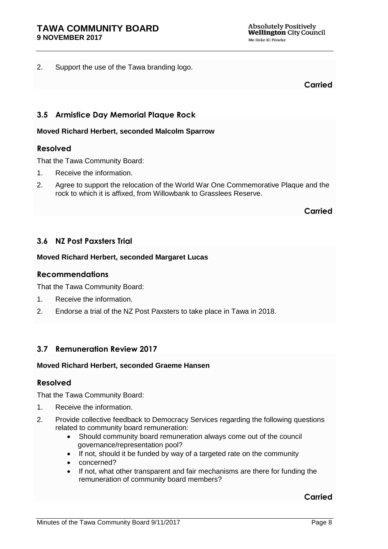2. Support the use of the Tawa branding logo.

**Carried**

# <span id="page-7-0"></span>**3.5 Armistice Day Memorial Plaque Rock**

#### **Moved Richard Herbert, seconded Malcolm Sparrow**

#### **Resolved**

That the Tawa Community Board:

- 1. Receive the information.
- 2. Agree to support the relocation of the World War One Commemorative Plaque and the rock to which it is affixed, from Willowbank to Grasslees Reserve.

**Carried**

# <span id="page-7-1"></span>**3.6 NZ Post Paxsters Trial**

#### **Moved Richard Herbert, seconded Margaret Lucas**

#### **Recommendations**

That the Tawa Community Board:

- 1. Receive the information.
- 2. Endorse a trial of the NZ Post Paxsters to take place in Tawa in 2018.

# <span id="page-7-2"></span>**3.7 Remuneration Review 2017**

#### **Moved Richard Herbert, seconded Graeme Hansen**

#### **Resolved**

That the Tawa Community Board:

- 1. Receive the information.
- 2. Provide collective feedback to Democracy Services regarding the following questions related to community board remuneration:
	- Should community board remuneration always come out of the council governance/representation pool?
	- If not, should it be funded by way of a targeted rate on the community
	- concerned?
	- If not, what other transparent and fair mechanisms are there for funding the remuneration of community board members?

#### **Carried**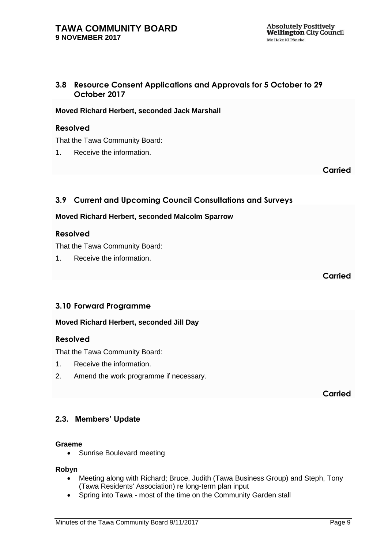# <span id="page-8-0"></span>**3.8 Resource Consent Applications and Approvals for 5 October to 29 October 2017**

## **Moved Richard Herbert, seconded Jack Marshall**

#### **Resolved**

That the Tawa Community Board:

1. Receive the information.

**Carried**

# <span id="page-8-1"></span>**3.9 Current and Upcoming Council Consultations and Surveys**

#### **Moved Richard Herbert, seconded Malcolm Sparrow**

## **Resolved**

That the Tawa Community Board:

1. Receive the information.

**Carried**

# <span id="page-8-2"></span>**3.10 Forward Programme**

#### **Moved Richard Herbert, seconded Jill Day**

#### **Resolved**

That the Tawa Community Board:

- 1. Receive the information.
- 2. Amend the work programme if necessary.

**Carried**

# **2.3. Members' Update**

#### **Graeme**

• Sunrise Boulevard meeting

**Robyn**

- Meeting along with Richard; Bruce, Judith (Tawa Business Group) and Steph, Tony (Tawa Residents' Association) re long-term plan input
- Spring into Tawa most of the time on the Community Garden stall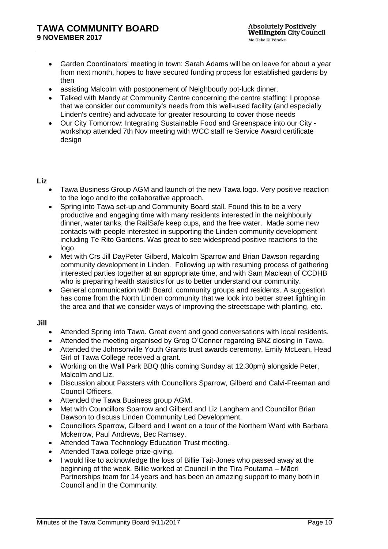- Garden Coordinators' meeting in town: Sarah Adams will be on leave for about a year from next month, hopes to have secured funding process for established gardens by then
- assisting Malcolm with postponement of Neighbourly pot-luck dinner.
- Talked with Mandy at Community Centre concerning the centre staffing: I propose that we consider our community's needs from this well-used facility (and especially Linden's centre) and advocate for greater resourcing to cover those needs
- Our City Tomorrow: Integrating Sustainable Food and Greenspace into our City workshop attended 7th Nov meeting with WCC staff re Service Award certificate design

#### **Liz**

- Tawa Business Group AGM and launch of the new Tawa logo. Very positive reaction to the logo and to the collaborative approach.
- Spring into Tawa set-up and Community Board stall. Found this to be a very productive and engaging time with many residents interested in the neighbourly dinner, water tanks, the RailSafe keep cups, and the free water. Made some new contacts with people interested in supporting the Linden community development including Te Rito Gardens. Was great to see widespread positive reactions to the logo.
- Met with Crs Jill DayPeter Gilberd, Malcolm Sparrow and Brian Dawson regarding community development in Linden. Following up with resuming process of gathering interested parties together at an appropriate time, and with Sam Maclean of CCDHB who is preparing health statistics for us to better understand our community.
- General communication with Board, community groups and residents. A suggestion has come from the North Linden community that we look into better street lighting in the area and that we consider ways of improving the streetscape with planting, etc.

#### **Jill**

- Attended Spring into Tawa. Great event and good conversations with local residents.
- Attended the meeting organised by Greg O'Conner regarding BNZ closing in Tawa.
- Attended the Johnsonville Youth Grants trust awards ceremony. Emily McLean, Head Girl of Tawa College received a grant.
- Working on the Wall Park BBQ (this coming Sunday at 12.30pm) alongside Peter, Malcolm and Liz.
- Discussion about Paxsters with Councillors Sparrow, Gilberd and Calvi-Freeman and Council Officers.
- Attended the Tawa Business group AGM.
- Met with Councillors Sparrow and Gilberd and Liz Langham and Councillor Brian Dawson to discuss Linden Community Led Development.
- Councillors Sparrow, Gilberd and I went on a tour of the Northern Ward with Barbara Mckerrow, Paul Andrews, Bec Ramsey.
- Attended Tawa Technology Education Trust meeting.
- Attended Tawa college prize-giving.
- I would like to acknowledge the loss of Billie Tait-Jones who passed away at the beginning of the week. Billie worked at Council in the Tira Poutama – Māori Partnerships team for 14 years and has been an amazing support to many both in Council and in the Community.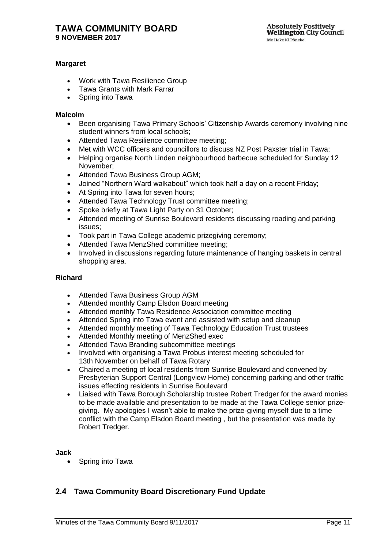#### **Margaret**

- Work with Tawa Resilience Group
- Tawa Grants with Mark Farrar
- Spring into Tawa

#### **Malcolm**

- Been organising Tawa Primary Schools' Citizenship Awards ceremony involving nine student winners from local schools;
- Attended Tawa Resilience committee meeting:
- Met with WCC officers and councillors to discuss NZ Post Paxster trial in Tawa;
- Helping organise North Linden neighbourhood barbecue scheduled for Sunday 12 November;
- Attended Tawa Business Group AGM;
- Joined "Northern Ward walkabout" which took half a day on a recent Friday;
- At Spring into Tawa for seven hours;
- Attended Tawa Technology Trust committee meeting;
- Spoke briefly at Tawa Light Party on 31 October;
- Attended meeting of Sunrise Boulevard residents discussing roading and parking issues;
- Took part in Tawa College academic prizegiving ceremony;
- Attended Tawa MenzShed committee meeting;
- Involved in discussions regarding future maintenance of hanging baskets in central shopping area.

#### **Richard**

- Attended Tawa Business Group AGM
- Attended monthly Camp Elsdon Board meeting
- Attended monthly Tawa Residence Association committee meeting
- Attended Spring into Tawa event and assisted with setup and cleanup
- Attended monthly meeting of Tawa Technology Education Trust trustees
- Attended Monthly meeting of MenzShed exec
- Attended Tawa Branding subcommittee meetings
- Involved with organising a Tawa Probus interest meeting scheduled for 13th November on behalf of Tawa Rotary
- Chaired a meeting of local residents from Sunrise Boulevard and convened by Presbyterian Support Central (Longview Home) concerning parking and other traffic issues effecting residents in Sunrise Boulevard
- Liaised with Tawa Borough Scholarship trustee Robert Tredger for the award monies to be made available and presentation to be made at the Tawa College senior prizegiving. My apologies I wasn't able to make the prize-giving myself due to a time conflict with the Camp Elsdon Board meeting , but the presentation was made by Robert Tredger.

**Jack**

• Spring into Tawa

# **2.4 Tawa Community Board Discretionary Fund Update**